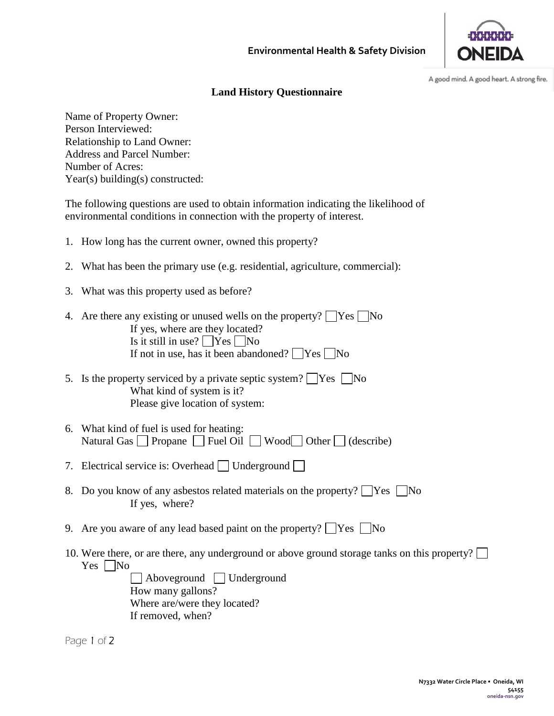

A good mind. A good heart. A strong fire.

## **Land History Questionnaire**

Name of Property Owner: Person Interviewed: Relationship to Land Owner: Address and Parcel Number: Number of Acres: Year(s) building(s) constructed:

The following questions are used to obtain information indicating the likelihood of environmental conditions in connection with the property of interest.

- 1. How long has the current owner, owned this property?
- 2. What has been the primary use (e.g. residential, agriculture, commercial):
- 3. What was this property used as before?
- 4. Are there any existing or unused wells on the property?  $\Box$  Yes  $\Box$  No If yes, where are they located? Is it still in use?  $\Box$  Yes  $\Box$  No If not in use, has it been abandoned?  $\Box$  Yes  $\Box$  No
- 5. Is the property serviced by a private septic system?  $\Box$  Yes  $\Box$  No What kind of system is it? Please give location of system:
- 6. What kind of fuel is used for heating: Natural Gas  $\Box$  Propane  $\Box$  Fuel Oil  $\Box$  Wood $\Box$  Other  $\Box$  (describe)
- 7. Electrical service is: Overhead  $\Box$  Underground  $\Box$
- 8. Do you know of any asbestos related materials on the property?  $\Box$  Yes  $\Box$  No If yes, where?
- 9. Are you aware of any lead based paint on the property?  $\Box$  Yes  $\Box$  No
- 10. Were there, or are there, any underground or above ground storage tanks on this property?  $Yes \Box No$

Aboveground Underground How many gallons? Where are/were they located? If removed, when?

Page 1 of 2